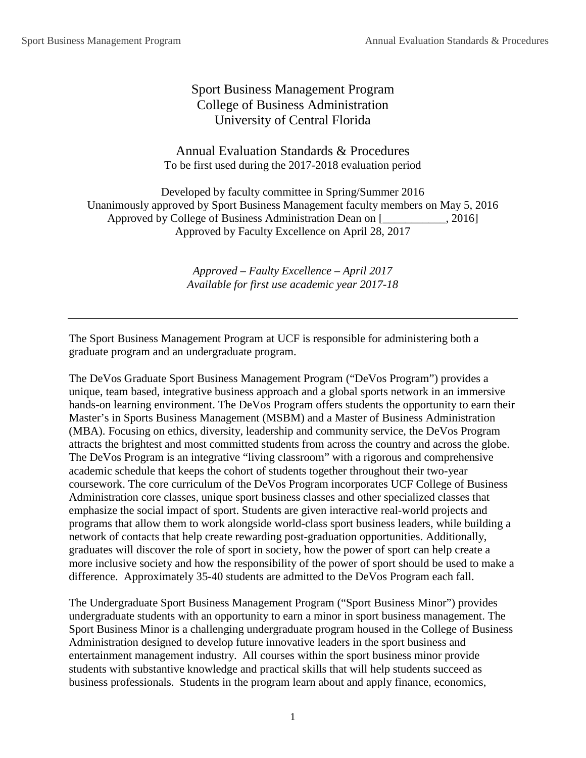# Sport Business Management Program College of Business Administration University of Central Florida

Annual Evaluation Standards & Procedures To be first used during the 2017-2018 evaluation period

Developed by faculty committee in Spring/Summer 2016 Unanimously approved by Sport Business Management faculty members on May 5, 2016 Approved by College of Business Administration Dean on [1, 2016] Approved by Faculty Excellence on April 28, 2017

> *Approved – Faulty Excellence – April 2017 Available for first use academic year 2017-18*

The Sport Business Management Program at UCF is responsible for administering both a graduate program and an undergraduate program.

The DeVos Graduate Sport Business Management Program ("DeVos Program") provides a unique, team based, integrative business approach and a global sports network in an immersive hands-on learning environment. The DeVos Program offers students the opportunity to earn their Master's in Sports Business Management (MSBM) and a Master of Business Administration (MBA). Focusing on ethics, diversity, leadership and community service, the DeVos Program attracts the brightest and most committed students from across the country and across the globe. The DeVos Program is an integrative "living classroom" with a rigorous and comprehensive academic schedule that keeps the cohort of students together throughout their two-year coursework. The core curriculum of the DeVos Program incorporates UCF College of Business Administration core classes, unique sport business classes and other specialized classes that emphasize the social impact of sport. Students are given interactive real-world projects and programs that allow them to work alongside world-class sport business leaders, while building a network of contacts that help create rewarding post-graduation opportunities. Additionally, graduates will discover the role of sport in society, how the power of sport can help create a more inclusive society and how the responsibility of the power of sport should be used to make a difference. Approximately 35-40 students are admitted to the DeVos Program each fall.

The Undergraduate Sport Business Management Program ("Sport Business Minor") provides undergraduate students with an opportunity to earn a minor in sport business management. The Sport Business Minor is a challenging undergraduate program housed in the College of Business Administration designed to develop future innovative leaders in the sport business and entertainment management industry. All courses within the sport business minor provide students with substantive knowledge and practical skills that will help students succeed as business professionals. Students in the program learn about and apply finance, economics,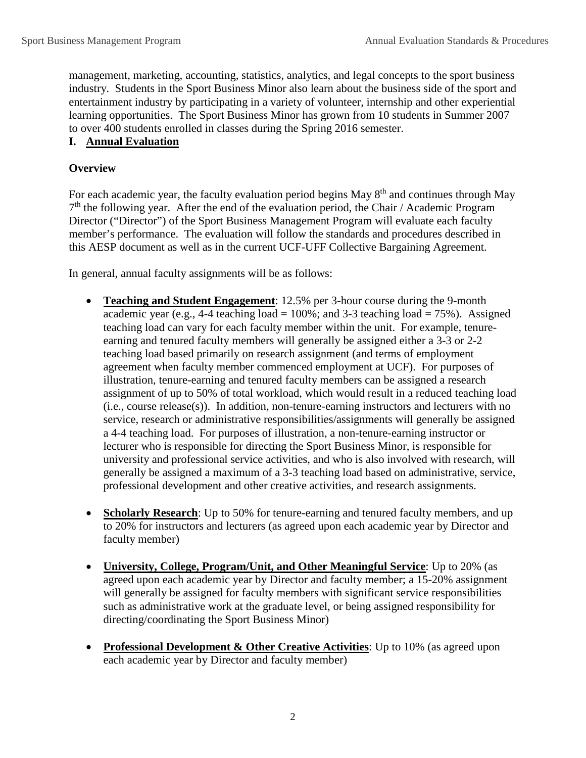management, marketing, accounting, statistics, analytics, and legal concepts to the sport business industry. Students in the Sport Business Minor also learn about the business side of the sport and entertainment industry by participating in a variety of volunteer, internship and other experiential learning opportunities. The Sport Business Minor has grown from 10 students in Summer 2007 to over 400 students enrolled in classes during the Spring 2016 semester.

### **I. Annual Evaluation**

## **Overview**

For each academic year, the faculty evaluation period begins May  $8<sup>th</sup>$  and continues through May  $7<sup>th</sup>$  the following year. After the end of the evaluation period, the Chair / Academic Program Director ("Director") of the Sport Business Management Program will evaluate each faculty member's performance. The evaluation will follow the standards and procedures described in this AESP document as well as in the current UCF-UFF Collective Bargaining Agreement.

In general, annual faculty assignments will be as follows:

- **Teaching and Student Engagement**: 12.5% per 3-hour course during the 9-month academic year (e.g., 4-4 teaching  $load = 100\%$ ; and 3-3 teaching  $load = 75\%$ ). Assigned teaching load can vary for each faculty member within the unit. For example, tenureearning and tenured faculty members will generally be assigned either a 3-3 or 2-2 teaching load based primarily on research assignment (and terms of employment agreement when faculty member commenced employment at UCF). For purposes of illustration, tenure-earning and tenured faculty members can be assigned a research assignment of up to 50% of total workload, which would result in a reduced teaching load (i.e., course release(s)). In addition, non-tenure-earning instructors and lecturers with no service, research or administrative responsibilities/assignments will generally be assigned a 4-4 teaching load. For purposes of illustration, a non-tenure-earning instructor or lecturer who is responsible for directing the Sport Business Minor, is responsible for university and professional service activities, and who is also involved with research, will generally be assigned a maximum of a 3-3 teaching load based on administrative, service, professional development and other creative activities, and research assignments.
- **Scholarly Research**: Up to 50% for tenure-earning and tenured faculty members, and up to 20% for instructors and lecturers (as agreed upon each academic year by Director and faculty member)
- **University, College, Program/Unit, and Other Meaningful Service**: Up to 20% (as agreed upon each academic year by Director and faculty member; a 15-20% assignment will generally be assigned for faculty members with significant service responsibilities such as administrative work at the graduate level, or being assigned responsibility for directing/coordinating the Sport Business Minor)
- **Professional Development & Other Creative Activities**: Up to 10% (as agreed upon each academic year by Director and faculty member)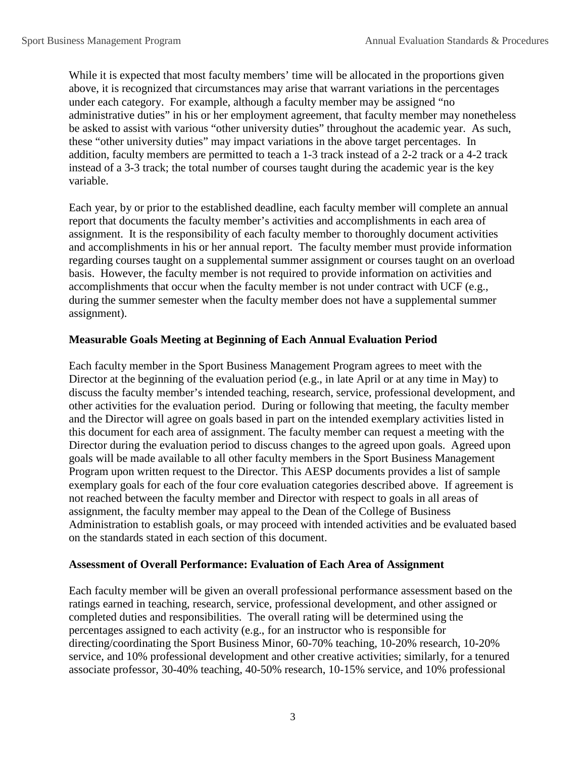While it is expected that most faculty members' time will be allocated in the proportions given above, it is recognized that circumstances may arise that warrant variations in the percentages under each category. For example, although a faculty member may be assigned "no administrative duties" in his or her employment agreement, that faculty member may nonetheless be asked to assist with various "other university duties" throughout the academic year. As such, these "other university duties" may impact variations in the above target percentages. In addition, faculty members are permitted to teach a 1-3 track instead of a 2-2 track or a 4-2 track instead of a 3-3 track; the total number of courses taught during the academic year is the key variable.

Each year, by or prior to the established deadline, each faculty member will complete an annual report that documents the faculty member's activities and accomplishments in each area of assignment. It is the responsibility of each faculty member to thoroughly document activities and accomplishments in his or her annual report. The faculty member must provide information regarding courses taught on a supplemental summer assignment or courses taught on an overload basis. However, the faculty member is not required to provide information on activities and accomplishments that occur when the faculty member is not under contract with UCF (e.g., during the summer semester when the faculty member does not have a supplemental summer assignment).

### **Measurable Goals Meeting at Beginning of Each Annual Evaluation Period**

Each faculty member in the Sport Business Management Program agrees to meet with the Director at the beginning of the evaluation period (e.g., in late April or at any time in May) to discuss the faculty member's intended teaching, research, service, professional development, and other activities for the evaluation period. During or following that meeting, the faculty member and the Director will agree on goals based in part on the intended exemplary activities listed in this document for each area of assignment. The faculty member can request a meeting with the Director during the evaluation period to discuss changes to the agreed upon goals. Agreed upon goals will be made available to all other faculty members in the Sport Business Management Program upon written request to the Director. This AESP documents provides a list of sample exemplary goals for each of the four core evaluation categories described above. If agreement is not reached between the faculty member and Director with respect to goals in all areas of assignment, the faculty member may appeal to the Dean of the College of Business Administration to establish goals, or may proceed with intended activities and be evaluated based on the standards stated in each section of this document.

### **Assessment of Overall Performance: Evaluation of Each Area of Assignment**

Each faculty member will be given an overall professional performance assessment based on the ratings earned in teaching, research, service, professional development, and other assigned or completed duties and responsibilities. The overall rating will be determined using the percentages assigned to each activity (e.g., for an instructor who is responsible for directing/coordinating the Sport Business Minor, 60-70% teaching, 10-20% research, 10-20% service, and 10% professional development and other creative activities; similarly, for a tenured associate professor, 30-40% teaching, 40-50% research, 10-15% service, and 10% professional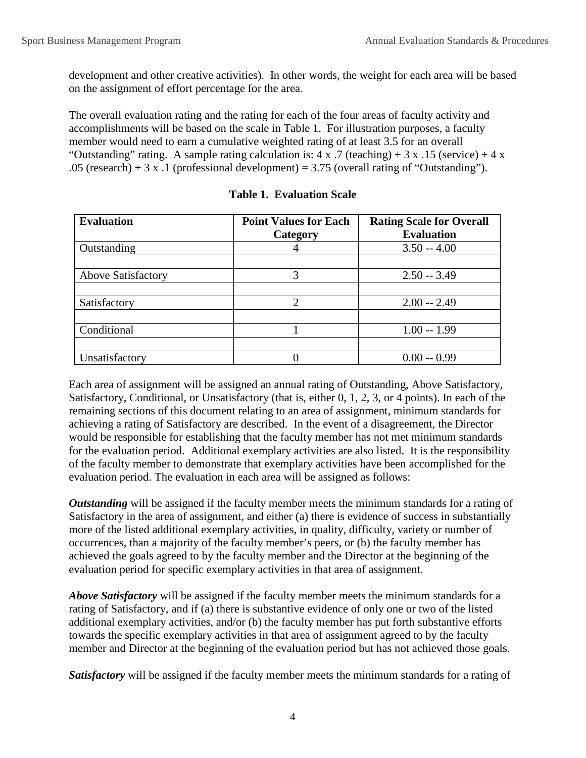development and other creative activities). In other words, the weight for each area will be based on the assignment of effort percentage for the area.

The overall evaluation rating and the rating for each of the four areas of faculty activity and accomplishments will be based on the scale in Table 1. For illustration purposes, a faculty member would need to earn a cumulative weighted rating of at least 3.5 for an overall "Outstanding" rating. A sample rating calculation is:  $4 \times .7$  (teaching) + 3 x .15 (service) + 4 x .05 (research) + 3 x .1 (professional development) = 3.75 (overall rating of "Outstanding").

| <b>Evaluation</b>         | <b>Point Values for Each</b><br>Category | <b>Rating Scale for Overall</b><br><b>Evaluation</b> |
|---------------------------|------------------------------------------|------------------------------------------------------|
| Outstanding               |                                          | $3.50 - 4.00$                                        |
|                           |                                          |                                                      |
| <b>Above Satisfactory</b> | 3                                        | $2.50 - 3.49$                                        |
|                           |                                          |                                                      |
| Satisfactory              | ◠                                        | $2.00 - 2.49$                                        |
|                           |                                          |                                                      |
| Conditional               |                                          | $1.00 - 1.99$                                        |
|                           |                                          |                                                      |
| Unsatisfactory            |                                          | $0.00 - 0.99$                                        |

#### **Table 1. Evaluation Scale**

Each area of assignment will be assigned an annual rating of Outstanding, Above Satisfactory, Satisfactory, Conditional, or Unsatisfactory (that is, either 0, 1, 2, 3, or 4 points). In each of the remaining sections of this document relating to an area of assignment, minimum standards for achieving a rating of Satisfactory are described. In the event of a disagreement, the Director would be responsible for establishing that the faculty member has not met minimum standards for the evaluation period. Additional exemplary activities are also listed. It is the responsibility of the faculty member to demonstrate that exemplary activities have been accomplished for the evaluation period. The evaluation in each area will be assigned as follows:

*Outstanding* will be assigned if the faculty member meets the minimum standards for a rating of Satisfactory in the area of assignment, and either (a) there is evidence of success in substantially more of the listed additional exemplary activities, in quality, difficulty, variety or number of occurrences, than a majority of the faculty member's peers, or (b) the faculty member has achieved the goals agreed to by the faculty member and the Director at the beginning of the evaluation period for specific exemplary activities in that area of assignment.

*Above Satisfactory* will be assigned if the faculty member meets the minimum standards for a rating of Satisfactory, and if (a) there is substantive evidence of only one or two of the listed additional exemplary activities, and/or (b) the faculty member has put forth substantive efforts towards the specific exemplary activities in that area of assignment agreed to by the faculty member and Director at the beginning of the evaluation period but has not achieved those goals.

*Satisfactory* will be assigned if the faculty member meets the minimum standards for a rating of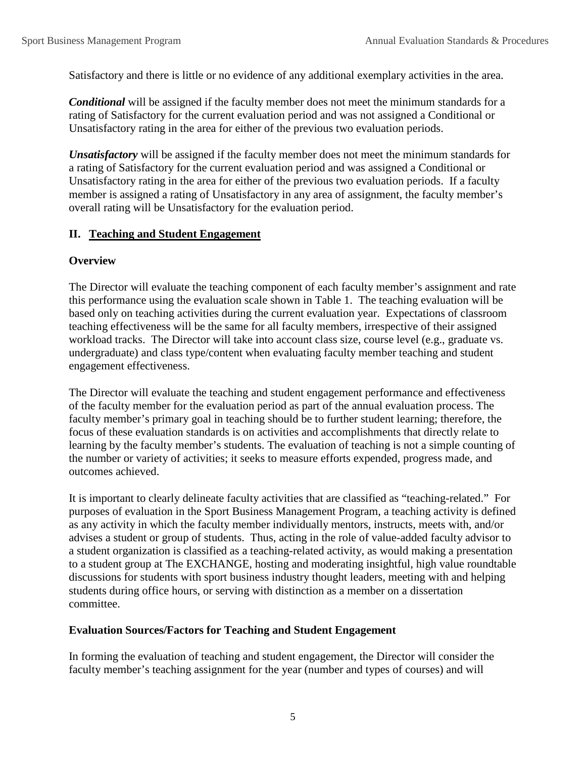Satisfactory and there is little or no evidence of any additional exemplary activities in the area.

*Conditional* will be assigned if the faculty member does not meet the minimum standards for a rating of Satisfactory for the current evaluation period and was not assigned a Conditional or Unsatisfactory rating in the area for either of the previous two evaluation periods.

*Unsatisfactory* will be assigned if the faculty member does not meet the minimum standards for a rating of Satisfactory for the current evaluation period and was assigned a Conditional or Unsatisfactory rating in the area for either of the previous two evaluation periods. If a faculty member is assigned a rating of Unsatisfactory in any area of assignment, the faculty member's overall rating will be Unsatisfactory for the evaluation period.

### **II. Teaching and Student Engagement**

### **Overview**

The Director will evaluate the teaching component of each faculty member's assignment and rate this performance using the evaluation scale shown in Table 1. The teaching evaluation will be based only on teaching activities during the current evaluation year. Expectations of classroom teaching effectiveness will be the same for all faculty members, irrespective of their assigned workload tracks. The Director will take into account class size, course level (e.g., graduate vs. undergraduate) and class type/content when evaluating faculty member teaching and student engagement effectiveness.

The Director will evaluate the teaching and student engagement performance and effectiveness of the faculty member for the evaluation period as part of the annual evaluation process. The faculty member's primary goal in teaching should be to further student learning; therefore, the focus of these evaluation standards is on activities and accomplishments that directly relate to learning by the faculty member's students. The evaluation of teaching is not a simple counting of the number or variety of activities; it seeks to measure efforts expended, progress made, and outcomes achieved.

It is important to clearly delineate faculty activities that are classified as "teaching-related." For purposes of evaluation in the Sport Business Management Program, a teaching activity is defined as any activity in which the faculty member individually mentors, instructs, meets with, and/or advises a student or group of students. Thus, acting in the role of value-added faculty advisor to a student organization is classified as a teaching-related activity, as would making a presentation to a student group at The EXCHANGE, hosting and moderating insightful, high value roundtable discussions for students with sport business industry thought leaders, meeting with and helping students during office hours, or serving with distinction as a member on a dissertation committee.

### **Evaluation Sources/Factors for Teaching and Student Engagement**

In forming the evaluation of teaching and student engagement, the Director will consider the faculty member's teaching assignment for the year (number and types of courses) and will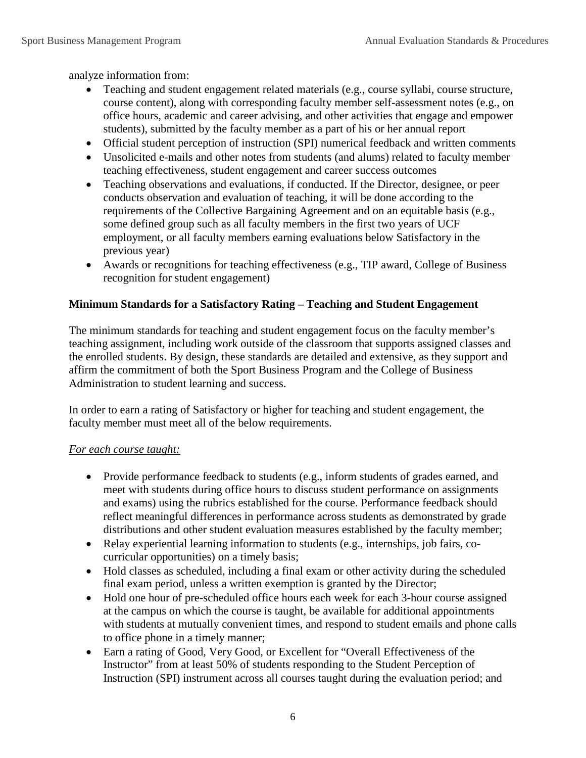analyze information from:

- Teaching and student engagement related materials (e.g., course syllabi, course structure, course content), along with corresponding faculty member self-assessment notes (e.g., on office hours, academic and career advising, and other activities that engage and empower students), submitted by the faculty member as a part of his or her annual report
- Official student perception of instruction (SPI) numerical feedback and written comments
- Unsolicited e-mails and other notes from students (and alums) related to faculty member teaching effectiveness, student engagement and career success outcomes
- Teaching observations and evaluations, if conducted. If the Director, designee, or peer conducts observation and evaluation of teaching, it will be done according to the requirements of the Collective Bargaining Agreement and on an equitable basis (e.g., some defined group such as all faculty members in the first two years of UCF employment, or all faculty members earning evaluations below Satisfactory in the previous year)
- Awards or recognitions for teaching effectiveness (e.g., TIP award, College of Business recognition for student engagement)

### **Minimum Standards for a Satisfactory Rating – Teaching and Student Engagement**

The minimum standards for teaching and student engagement focus on the faculty member's teaching assignment, including work outside of the classroom that supports assigned classes and the enrolled students. By design, these standards are detailed and extensive, as they support and affirm the commitment of both the Sport Business Program and the College of Business Administration to student learning and success.

In order to earn a rating of Satisfactory or higher for teaching and student engagement, the faculty member must meet all of the below requirements.

#### *For each course taught:*

- Provide performance feedback to students (e.g., inform students of grades earned, and meet with students during office hours to discuss student performance on assignments and exams) using the rubrics established for the course. Performance feedback should reflect meaningful differences in performance across students as demonstrated by grade distributions and other student evaluation measures established by the faculty member;
- Relay experiential learning information to students (e.g., internships, job fairs, cocurricular opportunities) on a timely basis;
- Hold classes as scheduled, including a final exam or other activity during the scheduled final exam period, unless a written exemption is granted by the Director;
- Hold one hour of pre-scheduled office hours each week for each 3-hour course assigned at the campus on which the course is taught, be available for additional appointments with students at mutually convenient times, and respond to student emails and phone calls to office phone in a timely manner;
- Earn a rating of Good, Very Good, or Excellent for "Overall Effectiveness of the Instructor" from at least 50% of students responding to the Student Perception of Instruction (SPI) instrument across all courses taught during the evaluation period; and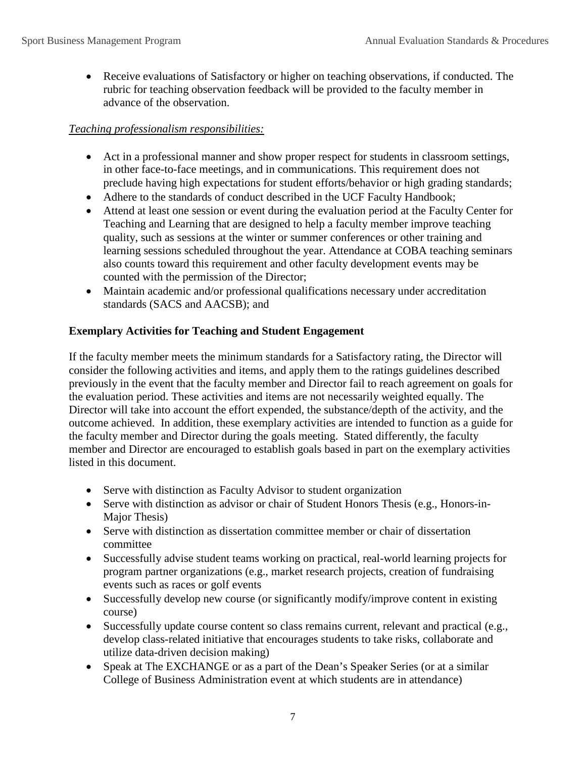• Receive evaluations of Satisfactory or higher on teaching observations, if conducted. The rubric for teaching observation feedback will be provided to the faculty member in advance of the observation.

## *Teaching professionalism responsibilities:*

- Act in a professional manner and show proper respect for students in classroom settings, in other face-to-face meetings, and in communications. This requirement does not preclude having high expectations for student efforts/behavior or high grading standards;
- Adhere to the standards of conduct described in the UCF Faculty Handbook;
- Attend at least one session or event during the evaluation period at the Faculty Center for Teaching and Learning that are designed to help a faculty member improve teaching quality, such as sessions at the winter or summer conferences or other training and learning sessions scheduled throughout the year. Attendance at COBA teaching seminars also counts toward this requirement and other faculty development events may be counted with the permission of the Director;
- Maintain academic and/or professional qualifications necessary under accreditation standards (SACS and AACSB); and

### **Exemplary Activities for Teaching and Student Engagement**

If the faculty member meets the minimum standards for a Satisfactory rating, the Director will consider the following activities and items, and apply them to the ratings guidelines described previously in the event that the faculty member and Director fail to reach agreement on goals for the evaluation period. These activities and items are not necessarily weighted equally. The Director will take into account the effort expended, the substance/depth of the activity, and the outcome achieved. In addition, these exemplary activities are intended to function as a guide for the faculty member and Director during the goals meeting. Stated differently, the faculty member and Director are encouraged to establish goals based in part on the exemplary activities listed in this document.

- Serve with distinction as Faculty Advisor to student organization
- Serve with distinction as advisor or chair of Student Honors Thesis (e.g., Honors-in-Major Thesis)
- Serve with distinction as dissertation committee member or chair of dissertation committee
- Successfully advise student teams working on practical, real-world learning projects for program partner organizations (e.g., market research projects, creation of fundraising events such as races or golf events
- Successfully develop new course (or significantly modify/improve content in existing course)
- Successfully update course content so class remains current, relevant and practical (e.g., develop class-related initiative that encourages students to take risks, collaborate and utilize data-driven decision making)
- Speak at The EXCHANGE or as a part of the Dean's Speaker Series (or at a similar College of Business Administration event at which students are in attendance)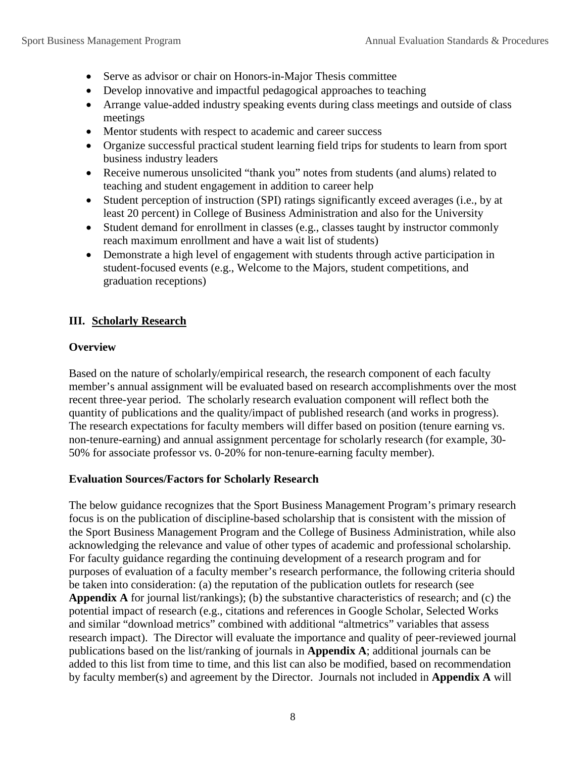- Serve as advisor or chair on Honors-in-Major Thesis committee
- Develop innovative and impactful pedagogical approaches to teaching
- Arrange value-added industry speaking events during class meetings and outside of class meetings
- Mentor students with respect to academic and career success
- Organize successful practical student learning field trips for students to learn from sport business industry leaders
- Receive numerous unsolicited "thank you" notes from students (and alums) related to teaching and student engagement in addition to career help
- Student perception of instruction (SPI) ratings significantly exceed averages (i.e., by at least 20 percent) in College of Business Administration and also for the University
- Student demand for enrollment in classes (e.g., classes taught by instructor commonly reach maximum enrollment and have a wait list of students)
- Demonstrate a high level of engagement with students through active participation in student-focused events (e.g., Welcome to the Majors, student competitions, and graduation receptions)

## **III. Scholarly Research**

### **Overview**

Based on the nature of scholarly/empirical research, the research component of each faculty member's annual assignment will be evaluated based on research accomplishments over the most recent three-year period. The scholarly research evaluation component will reflect both the quantity of publications and the quality/impact of published research (and works in progress). The research expectations for faculty members will differ based on position (tenure earning vs. non-tenure-earning) and annual assignment percentage for scholarly research (for example, 30- 50% for associate professor vs. 0-20% for non-tenure-earning faculty member).

### **Evaluation Sources/Factors for Scholarly Research**

The below guidance recognizes that the Sport Business Management Program's primary research focus is on the publication of discipline-based scholarship that is consistent with the mission of the Sport Business Management Program and the College of Business Administration, while also acknowledging the relevance and value of other types of academic and professional scholarship. For faculty guidance regarding the continuing development of a research program and for purposes of evaluation of a faculty member's research performance, the following criteria should be taken into consideration: (a) the reputation of the publication outlets for research (see **Appendix A** for journal list/rankings); (b) the substantive characteristics of research; and (c) the potential impact of research (e.g., citations and references in Google Scholar, Selected Works and similar "download metrics" combined with additional "altmetrics" variables that assess research impact). The Director will evaluate the importance and quality of peer-reviewed journal publications based on the list/ranking of journals in **Appendix A**; additional journals can be added to this list from time to time, and this list can also be modified, based on recommendation by faculty member(s) and agreement by the Director. Journals not included in **Appendix A** will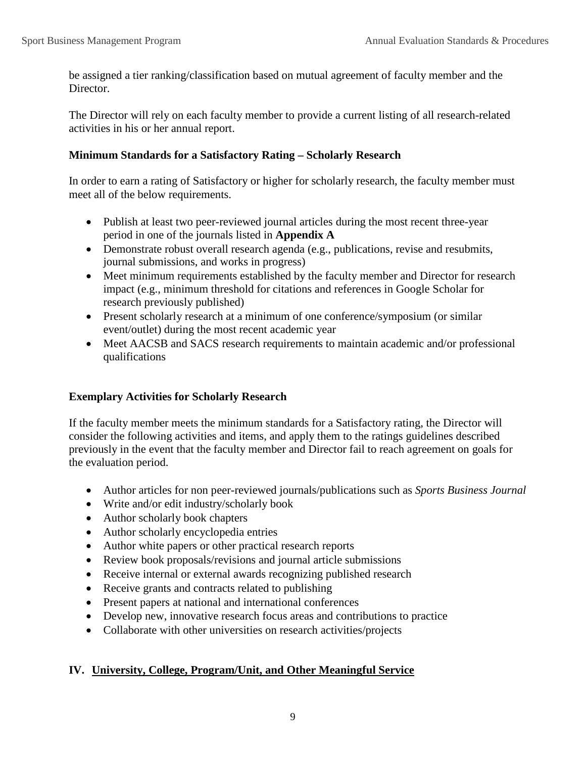be assigned a tier ranking/classification based on mutual agreement of faculty member and the Director.

The Director will rely on each faculty member to provide a current listing of all research-related activities in his or her annual report.

#### **Minimum Standards for a Satisfactory Rating – Scholarly Research**

In order to earn a rating of Satisfactory or higher for scholarly research, the faculty member must meet all of the below requirements.

- Publish at least two peer-reviewed journal articles during the most recent three-year period in one of the journals listed in **Appendix A**
- Demonstrate robust overall research agenda (e.g., publications, revise and resubmits, journal submissions, and works in progress)
- Meet minimum requirements established by the faculty member and Director for research impact (e.g., minimum threshold for citations and references in Google Scholar for research previously published)
- Present scholarly research at a minimum of one conference/symposium (or similar event/outlet) during the most recent academic year
- Meet AACSB and SACS research requirements to maintain academic and/or professional qualifications

### **Exemplary Activities for Scholarly Research**

If the faculty member meets the minimum standards for a Satisfactory rating, the Director will consider the following activities and items, and apply them to the ratings guidelines described previously in the event that the faculty member and Director fail to reach agreement on goals for the evaluation period.

- Author articles for non peer-reviewed journals/publications such as *Sports Business Journal*
- Write and/or edit industry/scholarly book
- Author scholarly book chapters
- Author scholarly encyclopedia entries
- Author white papers or other practical research reports
- Review book proposals/revisions and journal article submissions
- Receive internal or external awards recognizing published research
- Receive grants and contracts related to publishing
- Present papers at national and international conferences
- Develop new, innovative research focus areas and contributions to practice
- Collaborate with other universities on research activities/projects

#### **IV. University, College, Program/Unit, and Other Meaningful Service**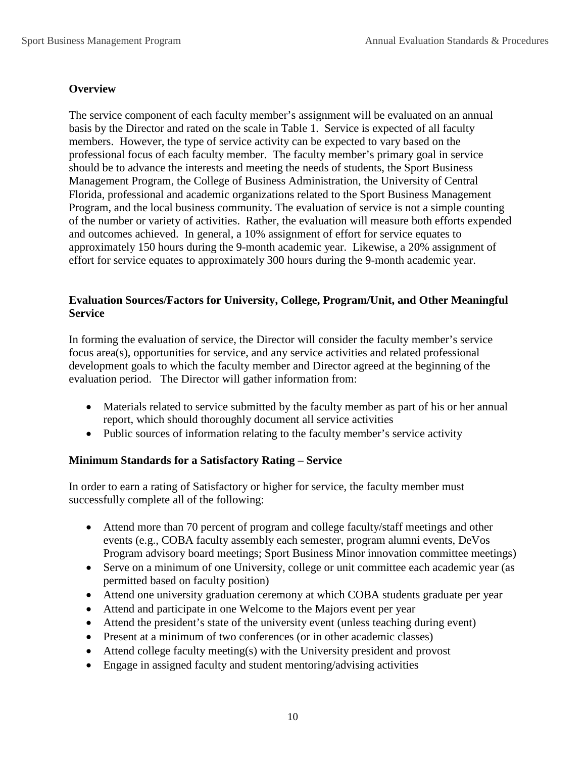### **Overview**

The service component of each faculty member's assignment will be evaluated on an annual basis by the Director and rated on the scale in Table 1. Service is expected of all faculty members. However, the type of service activity can be expected to vary based on the professional focus of each faculty member. The faculty member's primary goal in service should be to advance the interests and meeting the needs of students, the Sport Business Management Program, the College of Business Administration, the University of Central Florida, professional and academic organizations related to the Sport Business Management Program, and the local business community. The evaluation of service is not a simple counting of the number or variety of activities. Rather, the evaluation will measure both efforts expended and outcomes achieved. In general, a 10% assignment of effort for service equates to approximately 150 hours during the 9-month academic year. Likewise, a 20% assignment of effort for service equates to approximately 300 hours during the 9-month academic year.

### **Evaluation Sources/Factors for University, College, Program/Unit, and Other Meaningful Service**

In forming the evaluation of service, the Director will consider the faculty member's service focus area(s), opportunities for service, and any service activities and related professional development goals to which the faculty member and Director agreed at the beginning of the evaluation period. The Director will gather information from:

- Materials related to service submitted by the faculty member as part of his or her annual report, which should thoroughly document all service activities
- Public sources of information relating to the faculty member's service activity

### **Minimum Standards for a Satisfactory Rating – Service**

In order to earn a rating of Satisfactory or higher for service, the faculty member must successfully complete all of the following:

- Attend more than 70 percent of program and college faculty/staff meetings and other events (e.g., COBA faculty assembly each semester, program alumni events, DeVos Program advisory board meetings; Sport Business Minor innovation committee meetings)
- Serve on a minimum of one University, college or unit committee each academic year (as permitted based on faculty position)
- Attend one university graduation ceremony at which COBA students graduate per year
- Attend and participate in one Welcome to the Majors event per year
- Attend the president's state of the university event (unless teaching during event)
- Present at a minimum of two conferences (or in other academic classes)
- Attend college faculty meeting(s) with the University president and provost
- Engage in assigned faculty and student mentoring/advising activities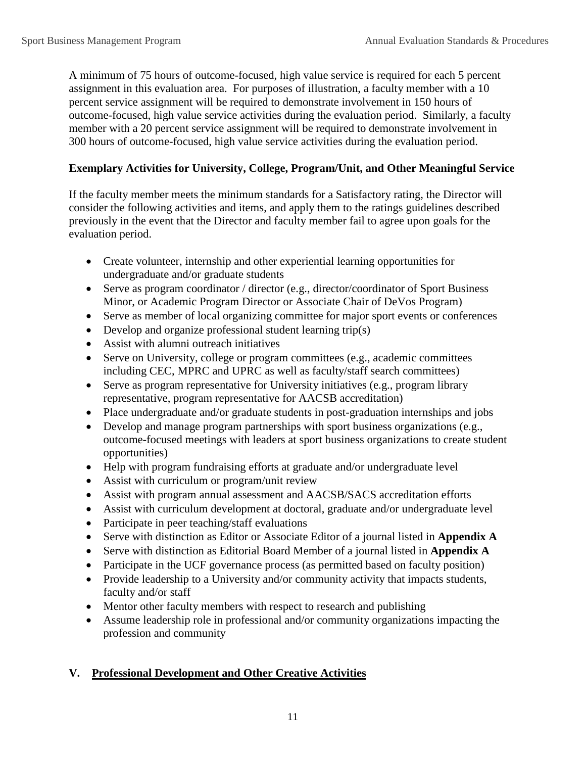A minimum of 75 hours of outcome-focused, high value service is required for each 5 percent assignment in this evaluation area. For purposes of illustration, a faculty member with a 10 percent service assignment will be required to demonstrate involvement in 150 hours of outcome-focused, high value service activities during the evaluation period. Similarly, a faculty member with a 20 percent service assignment will be required to demonstrate involvement in 300 hours of outcome-focused, high value service activities during the evaluation period.

### **Exemplary Activities for University, College, Program/Unit, and Other Meaningful Service**

If the faculty member meets the minimum standards for a Satisfactory rating, the Director will consider the following activities and items, and apply them to the ratings guidelines described previously in the event that the Director and faculty member fail to agree upon goals for the evaluation period.

- Create volunteer, internship and other experiential learning opportunities for undergraduate and/or graduate students
- Serve as program coordinator / director (e.g., director/coordinator of Sport Business Minor, or Academic Program Director or Associate Chair of DeVos Program)
- Serve as member of local organizing committee for major sport events or conferences
- Develop and organize professional student learning trip(s)
- Assist with alumni outreach initiatives
- Serve on University, college or program committees (e.g., academic committees including CEC, MPRC and UPRC as well as faculty/staff search committees)
- Serve as program representative for University initiatives (e.g., program library representative, program representative for AACSB accreditation)
- Place undergraduate and/or graduate students in post-graduation internships and jobs
- Develop and manage program partnerships with sport business organizations (e.g., outcome-focused meetings with leaders at sport business organizations to create student opportunities)
- Help with program fundraising efforts at graduate and/or undergraduate level
- Assist with curriculum or program/unit review
- Assist with program annual assessment and AACSB/SACS accreditation efforts
- Assist with curriculum development at doctoral, graduate and/or undergraduate level
- Participate in peer teaching/staff evaluations
- Serve with distinction as Editor or Associate Editor of a journal listed in **Appendix A**
- Serve with distinction as Editorial Board Member of a journal listed in **Appendix A**
- Participate in the UCF governance process (as permitted based on faculty position)
- Provide leadership to a University and/or community activity that impacts students, faculty and/or staff
- Mentor other faculty members with respect to research and publishing
- Assume leadership role in professional and/or community organizations impacting the profession and community

## **V. Professional Development and Other Creative Activities**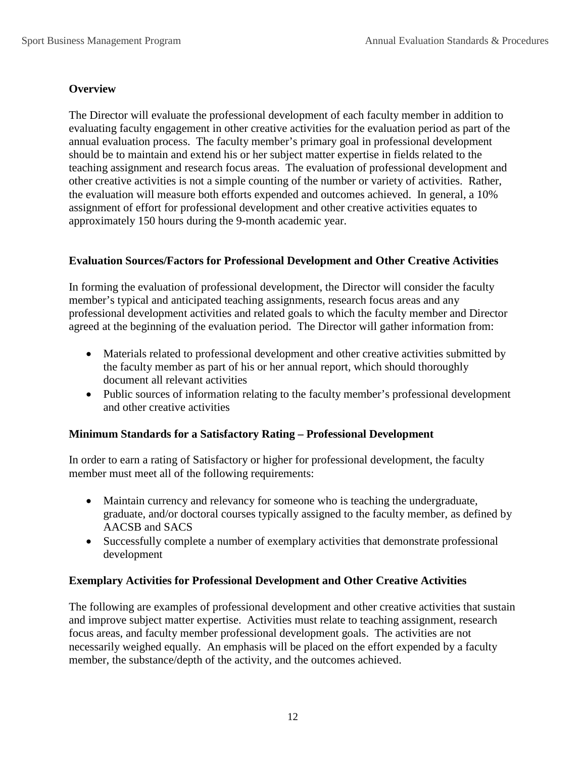### **Overview**

The Director will evaluate the professional development of each faculty member in addition to evaluating faculty engagement in other creative activities for the evaluation period as part of the annual evaluation process. The faculty member's primary goal in professional development should be to maintain and extend his or her subject matter expertise in fields related to the teaching assignment and research focus areas. The evaluation of professional development and other creative activities is not a simple counting of the number or variety of activities. Rather, the evaluation will measure both efforts expended and outcomes achieved. In general, a 10% assignment of effort for professional development and other creative activities equates to approximately 150 hours during the 9-month academic year.

### **Evaluation Sources/Factors for Professional Development and Other Creative Activities**

In forming the evaluation of professional development, the Director will consider the faculty member's typical and anticipated teaching assignments, research focus areas and any professional development activities and related goals to which the faculty member and Director agreed at the beginning of the evaluation period. The Director will gather information from:

- Materials related to professional development and other creative activities submitted by the faculty member as part of his or her annual report, which should thoroughly document all relevant activities
- Public sources of information relating to the faculty member's professional development and other creative activities

### **Minimum Standards for a Satisfactory Rating – Professional Development**

In order to earn a rating of Satisfactory or higher for professional development, the faculty member must meet all of the following requirements:

- Maintain currency and relevancy for someone who is teaching the undergraduate, graduate, and/or doctoral courses typically assigned to the faculty member, as defined by AACSB and SACS
- Successfully complete a number of exemplary activities that demonstrate professional development

#### **Exemplary Activities for Professional Development and Other Creative Activities**

The following are examples of professional development and other creative activities that sustain and improve subject matter expertise. Activities must relate to teaching assignment, research focus areas, and faculty member professional development goals. The activities are not necessarily weighed equally. An emphasis will be placed on the effort expended by a faculty member, the substance/depth of the activity, and the outcomes achieved.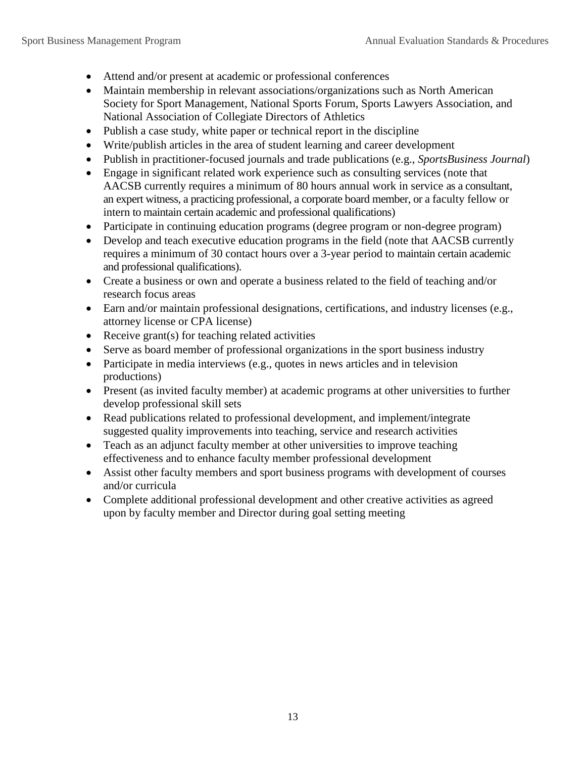- Attend and/or present at academic or professional conferences
- Maintain membership in relevant associations/organizations such as North American Society for Sport Management, National Sports Forum, Sports Lawyers Association, and National Association of Collegiate Directors of Athletics
- Publish a case study, white paper or technical report in the discipline
- Write/publish articles in the area of student learning and career development
- Publish in practitioner-focused journals and trade publications (e.g., *SportsBusiness Journal*)
- Engage in significant related work experience such as consulting services (note that AACSB currently requires a minimum of 80 hours annual work in service as a consultant, an expert witness, a practicing professional, a corporate board member, or a faculty fellow or intern to maintain certain academic and professional qualifications)
- Participate in continuing education programs (degree program or non-degree program)
- Develop and teach executive education programs in the field (note that AACSB currently requires a minimum of 30 contact hours over a 3-year period to maintain certain academic and professional qualifications).
- Create a business or own and operate a business related to the field of teaching and/or research focus areas
- Earn and/or maintain professional designations, certifications, and industry licenses (e.g., attorney license or CPA license)
- Receive grant(s) for teaching related activities
- Serve as board member of professional organizations in the sport business industry
- Participate in media interviews (e.g., quotes in news articles and in television productions)
- Present (as invited faculty member) at academic programs at other universities to further develop professional skill sets
- Read publications related to professional development, and implement/integrate suggested quality improvements into teaching, service and research activities
- Teach as an adjunct faculty member at other universities to improve teaching effectiveness and to enhance faculty member professional development
- Assist other faculty members and sport business programs with development of courses and/or curricula
- Complete additional professional development and other creative activities as agreed upon by faculty member and Director during goal setting meeting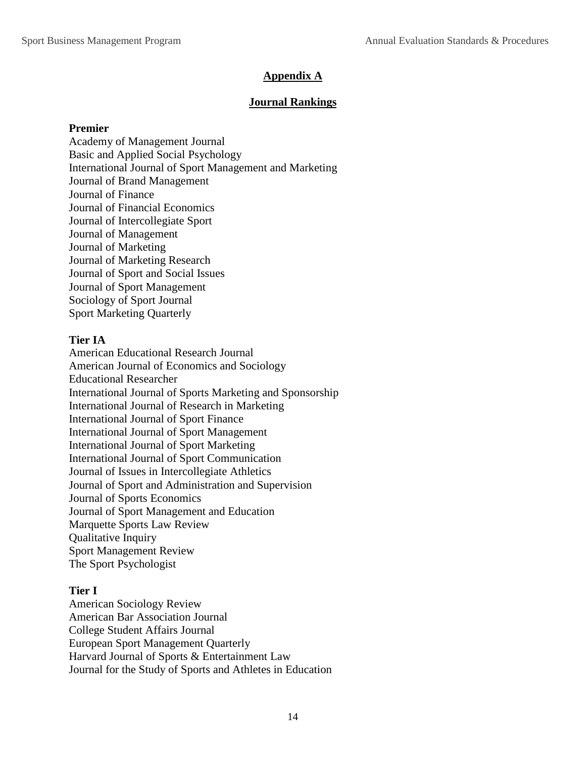## **Appendix A**

### **Journal Rankings**

#### **Premier**

Academy of Management Journal Basic and Applied Social Psychology International Journal of Sport Management and Marketing Journal of Brand Management Journal of Finance Journal of Financial Economics Journal of Intercollegiate Sport Journal of Management Journal of Marketing Journal of Marketing Research Journal of Sport and Social Issues Journal of Sport Management Sociology of Sport Journal Sport Marketing Quarterly

### **Tier IA**

American Educational Research Journal American Journal of Economics and Sociology Educational Researcher International Journal of Sports Marketing and Sponsorship International Journal of Research in Marketing International Journal of Sport Finance International Journal of Sport Management International Journal of Sport Marketing International Journal of Sport Communication Journal of Issues in Intercollegiate Athletics Journal of Sport and Administration and Supervision Journal of Sports Economics Journal of Sport Management and Education Marquette Sports Law Review Qualitative Inquiry Sport Management Review The Sport Psychologist

### **Tier I**

American Sociology Review American Bar Association Journal College Student Affairs Journal European Sport Management Quarterly Harvard Journal of Sports & Entertainment Law Journal for the Study of Sports and Athletes in Education